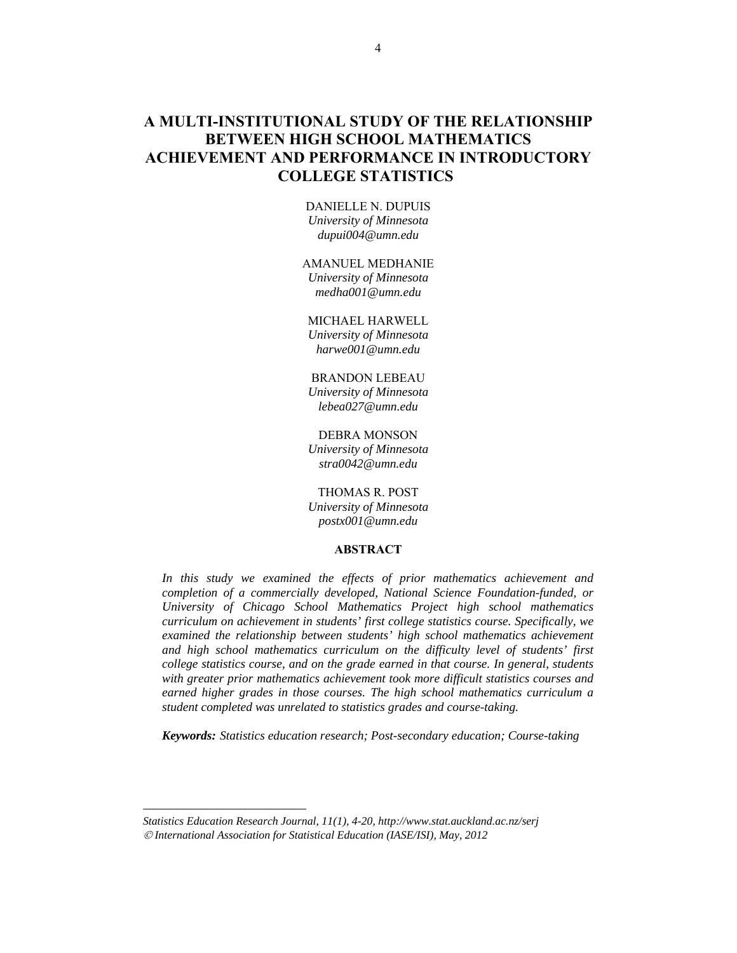# **A MULTI-INSTITUTIONAL STUDY OF THE RELATIONSHIP BETWEEN HIGH SCHOOL MATHEMATICS ACHIEVEMENT AND PERFORMANCE IN INTRODUCTORY COLLEGE STATISTICS<sup>2</sup>**

DANIELLE N. DUPUIS *University of Minnesota dupui004@umn.edu* 

AMANUEL MEDHANIE *University of Minnesota medha001@umn.edu* 

MICHAEL HARWELL *University of Minnesota harwe001@umn.edu* 

BRANDON LEBEAU *University of Minnesota lebea027@umn.edu* 

DEBRA MONSON *University of Minnesota stra0042@umn.edu* 

THOMAS R. POST

*University of Minnesota postx001@umn.edu* 

## **ABSTRACT**

*In this study we examined the effects of prior mathematics achievement and completion of a commercially developed, National Science Foundation-funded, or University of Chicago School Mathematics Project high school mathematics curriculum on achievement in students' first college statistics course. Specifically, we examined the relationship between students' high school mathematics achievement and high school mathematics curriculum on the difficulty level of students' first college statistics course, and on the grade earned in that course. In general, students with greater prior mathematics achievement took more difficult statistics courses and earned higher grades in those courses. The high school mathematics curriculum a student completed was unrelated to statistics grades and course-taking.* 

*Keywords: Statistics education research; Post-secondary education; Course-taking*

*Statistics Education Research Journal, 11(1), 4-20, http://www.stat.auckland.ac.nz/serj International Association for Statistical Education (IASE/ISI), May, 2012* 

l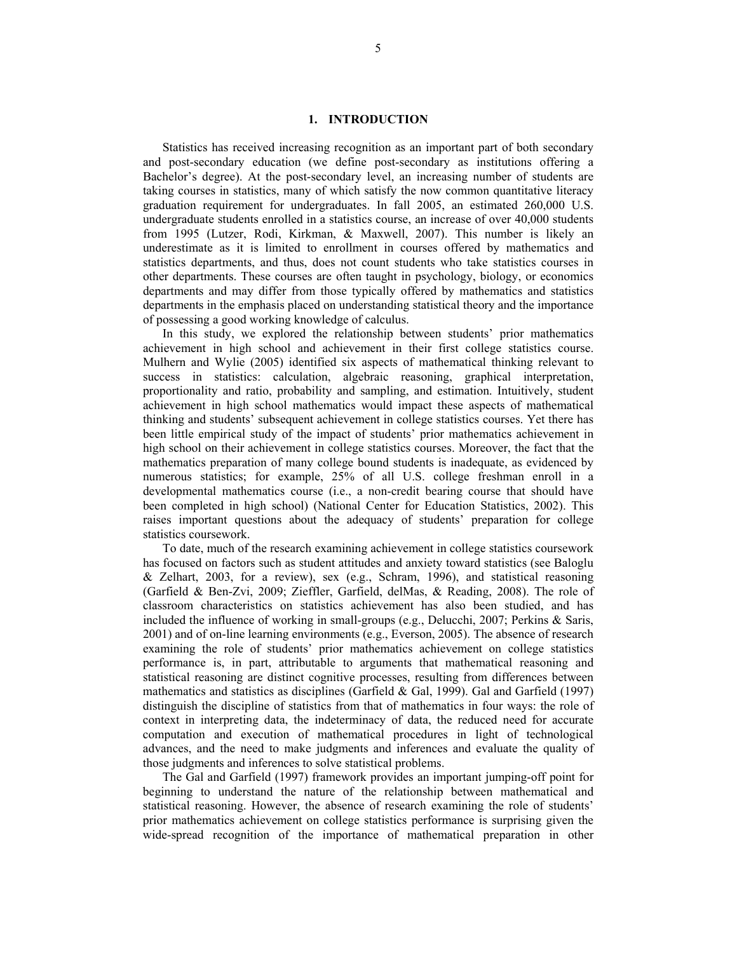# **1. INTRODUCTION**

Statistics has received increasing recognition as an important part of both secondary and post-secondary education (we define post-secondary as institutions offering a Bachelor's degree). At the post-secondary level, an increasing number of students are taking courses in statistics, many of which satisfy the now common quantitative literacy graduation requirement for undergraduates. In fall 2005, an estimated 260,000 U.S. undergraduate students enrolled in a statistics course, an increase of over 40,000 students from 1995 (Lutzer, Rodi, Kirkman, & Maxwell, 2007). This number is likely an underestimate as it is limited to enrollment in courses offered by mathematics and statistics departments, and thus, does not count students who take statistics courses in other departments. These courses are often taught in psychology, biology, or economics departments and may differ from those typically offered by mathematics and statistics departments in the emphasis placed on understanding statistical theory and the importance of possessing a good working knowledge of calculus.

In this study, we explored the relationship between students' prior mathematics achievement in high school and achievement in their first college statistics course. Mulhern and Wylie (2005) identified six aspects of mathematical thinking relevant to success in statistics: calculation, algebraic reasoning, graphical interpretation, proportionality and ratio, probability and sampling, and estimation. Intuitively, student achievement in high school mathematics would impact these aspects of mathematical thinking and students' subsequent achievement in college statistics courses. Yet there has been little empirical study of the impact of students' prior mathematics achievement in high school on their achievement in college statistics courses. Moreover, the fact that the mathematics preparation of many college bound students is inadequate, as evidenced by numerous statistics; for example, 25% of all U.S. college freshman enroll in a developmental mathematics course (i.e., a non-credit bearing course that should have been completed in high school) (National Center for Education Statistics, 2002). This raises important questions about the adequacy of students' preparation for college statistics coursework.

To date, much of the research examining achievement in college statistics coursework has focused on factors such as student attitudes and anxiety toward statistics (see Baloglu  $&$  Zelhart, 2003, for a review), sex (e.g., Schram, 1996), and statistical reasoning (Garfield & Ben-Zvi, 2009; Zieffler, Garfield, delMas, & Reading, 2008). The role of classroom characteristics on statistics achievement has also been studied, and has included the influence of working in small-groups (e.g., Delucchi, 2007; Perkins & Saris,  $2001$ ) and of on-line learning environments (e.g., Everson,  $2005$ ). The absence of research examining the role of students' prior mathematics achievement on college statistics performance is, in part, attributable to arguments that mathematical reasoning and statistical reasoning are distinct cognitive processes, resulting from differences between mathematics and statistics as disciplines (Garfield  $&$  Gal, 1999). Gal and Garfield (1997) distinguish the discipline of statistics from that of mathematics in four ways: the role of context in interpreting data, the indeterminacy of data, the reduced need for accurate computation and execution of mathematical procedures in light of technological advances, and the need to make judgments and inferences and evaluate the quality of those judgments and inferences to solve statistical problems.

The Gal and Garfield (1997) framework provides an important jumping-off point for beginning to understand the nature of the relationship between mathematical and statistical reasoning. However, the absence of research examining the role of students' prior mathematics achievement on college statistics performance is surprising given the wide-spread recognition of the importance of mathematical preparation in other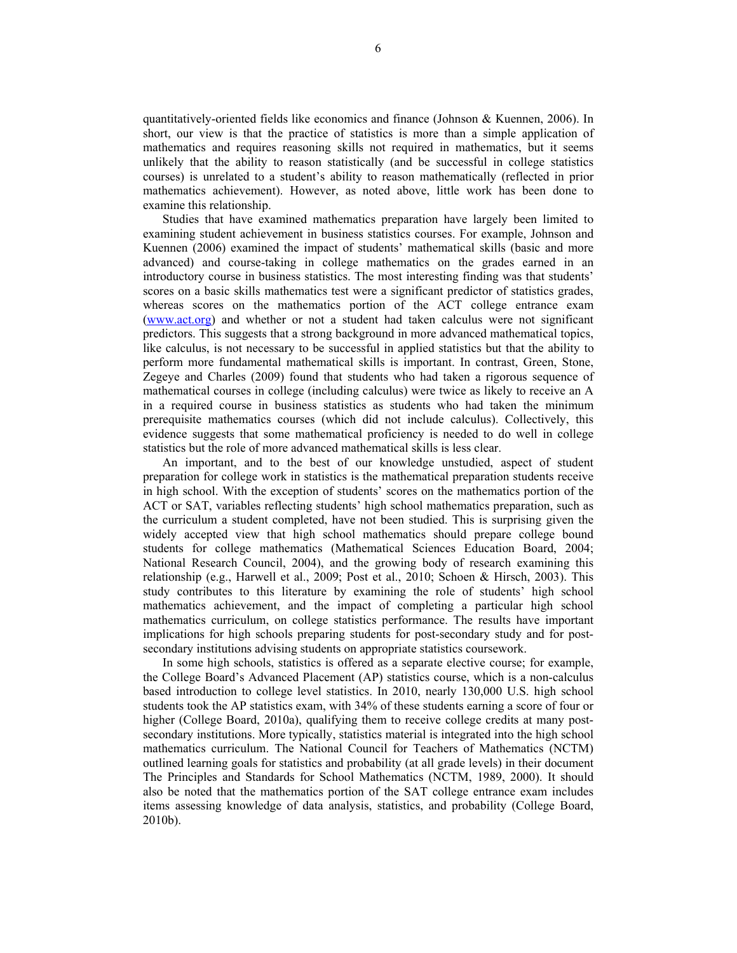quantitatively-oriented fields like economics and finance (Johnson & Kuennen, 2006). In short, our view is that the practice of statistics is more than a simple application of mathematics and requires reasoning skills not required in mathematics, but it seems unlikely that the ability to reason statistically (and be successful in college statistics courses) is unrelated to a student's ability to reason mathematically (reflected in prior mathematics achievement). However, as noted above, little work has been done to examine this relationship.

Studies that have examined mathematics preparation have largely been limited to examining student achievement in business statistics courses. For example, Johnson and Kuennen (2006) examined the impact of students' mathematical skills (basic and more advanced) and course-taking in college mathematics on the grades earned in an introductory course in business statistics. The most interesting finding was that students' scores on a basic skills mathematics test were a significant predictor of statistics grades, whereas scores on the mathematics portion of the ACT college entrance exam (www.act.org) and whether or not a student had taken calculus were not significant predictors. This suggests that a strong background in more advanced mathematical topics, like calculus, is not necessary to be successful in applied statistics but that the ability to perform more fundamental mathematical skills is important. In contrast, Green, Stone, Zegeye and Charles (2009) found that students who had taken a rigorous sequence of mathematical courses in college (including calculus) were twice as likely to receive an A in a required course in business statistics as students who had taken the minimum prerequisite mathematics courses (which did not include calculus). Collectively, this evidence suggests that some mathematical proficiency is needed to do well in college statistics but the role of more advanced mathematical skills is less clear.

An important, and to the best of our knowledge unstudied, aspect of student preparation for college work in statistics is the mathematical preparation students receive in high school. With the exception of students' scores on the mathematics portion of the ACT or SAT, variables reflecting students' high school mathematics preparation, such as the curriculum a student completed, have not been studied. This is surprising given the widely accepted view that high school mathematics should prepare college bound students for college mathematics (Mathematical Sciences Education Board, 2004; National Research Council, 2004), and the growing body of research examining this relationship (e.g., Harwell et al., 2009; Post et al., 2010; Schoen & Hirsch, 2003). This study contributes to this literature by examining the role of students' high school mathematics achievement, and the impact of completing a particular high school mathematics curriculum, on college statistics performance. The results have important implications for high schools preparing students for post-secondary study and for postsecondary institutions advising students on appropriate statistics coursework.

In some high schools, statistics is offered as a separate elective course; for example, the College Board's Advanced Placement (AP) statistics course, which is a non-calculus based introduction to college level statistics. In 2010, nearly 130,000 U.S. high school students took the AP statistics exam, with 34% of these students earning a score of four or higher (College Board, 2010a), qualifying them to receive college credits at many postsecondary institutions. More typically, statistics material is integrated into the high school mathematics curriculum. The National Council for Teachers of Mathematics (NCTM) outlined learning goals for statistics and probability (at all grade levels) in their document The Principles and Standards for School Mathematics (NCTM, 1989, 2000). It should also be noted that the mathematics portion of the SAT college entrance exam includes items assessing knowledge of data analysis, statistics, and probability (College Board, 2010b).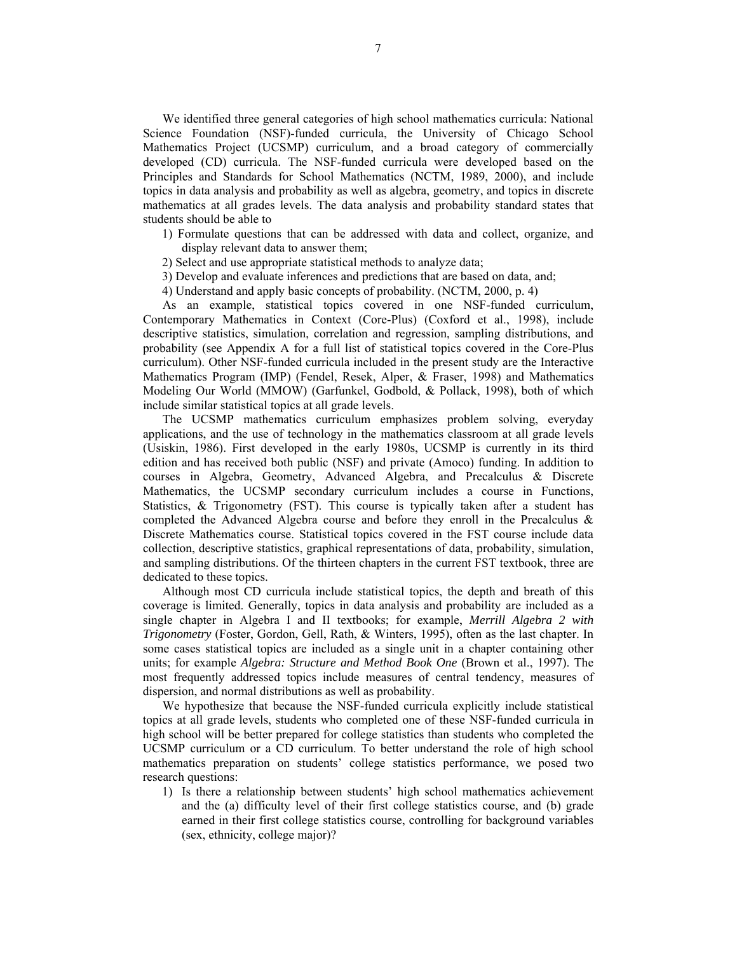We identified three general categories of high school mathematics curricula: National Science Foundation (NSF)-funded curricula, the University of Chicago School Mathematics Project (UCSMP) curriculum, and a broad category of commercially developed (CD) curricula. The NSF-funded curricula were developed based on the Principles and Standards for School Mathematics (NCTM, 1989, 2000), and include topics in data analysis and probability as well as algebra, geometry, and topics in discrete mathematics at all grades levels. The data analysis and probability standard states that students should be able to

- 1) Formulate questions that can be addressed with data and collect, organize, and display relevant data to answer them;
- 2) Select and use appropriate statistical methods to analyze data;
- 3) Develop and evaluate inferences and predictions that are based on data, and;
- 4) Understand and apply basic concepts of probability. (NCTM, 2000, p. 4)

As an example, statistical topics covered in one NSF-funded curriculum, Contemporary Mathematics in Context (Core-Plus) (Coxford et al., 1998), include descriptive statistics, simulation, correlation and regression, sampling distributions, and probability (see Appendix A for a full list of statistical topics covered in the Core-Plus curriculum). Other NSF-funded curricula included in the present study are the Interactive Mathematics Program (IMP) (Fendel, Resek, Alper, & Fraser, 1998) and Mathematics Modeling Our World (MMOW) (Garfunkel, Godbold, & Pollack, 1998), both of which include similar statistical topics at all grade levels.

The UCSMP mathematics curriculum emphasizes problem solving, everyday applications, and the use of technology in the mathematics classroom at all grade levels (Usiskin, 1986). First developed in the early 1980s, UCSMP is currently in its third edition and has received both public (NSF) and private (Amoco) funding. In addition to courses in Algebra, Geometry, Advanced Algebra, and Precalculus & Discrete Mathematics, the UCSMP secondary curriculum includes a course in Functions, Statistics, & Trigonometry (FST). This course is typically taken after a student has completed the Advanced Algebra course and before they enroll in the Precalculus  $\&$ Discrete Mathematics course. Statistical topics covered in the FST course include data collection, descriptive statistics, graphical representations of data, probability, simulation, and sampling distributions. Of the thirteen chapters in the current FST textbook, three are dedicated to these topics.

Although most CD curricula include statistical topics, the depth and breath of this coverage is limited. Generally, topics in data analysis and probability are included as a single chapter in Algebra I and II textbooks; for example, *Merrill Algebra 2 with Trigonometry* (Foster, Gordon, Gell, Rath, & Winters, 1995), often as the last chapter. In some cases statistical topics are included as a single unit in a chapter containing other units; for example *Algebra: Structure and Method Book One* (Brown et al., 1997). The most frequently addressed topics include measures of central tendency, measures of dispersion, and normal distributions as well as probability.

We hypothesize that because the NSF-funded curricula explicitly include statistical topics at all grade levels, students who completed one of these NSF-funded curricula in high school will be better prepared for college statistics than students who completed the UCSMP curriculum or a CD curriculum. To better understand the role of high school mathematics preparation on students' college statistics performance, we posed two research questions:

1) Is there a relationship between students' high school mathematics achievement and the (a) difficulty level of their first college statistics course, and (b) grade earned in their first college statistics course, controlling for background variables (sex, ethnicity, college major)?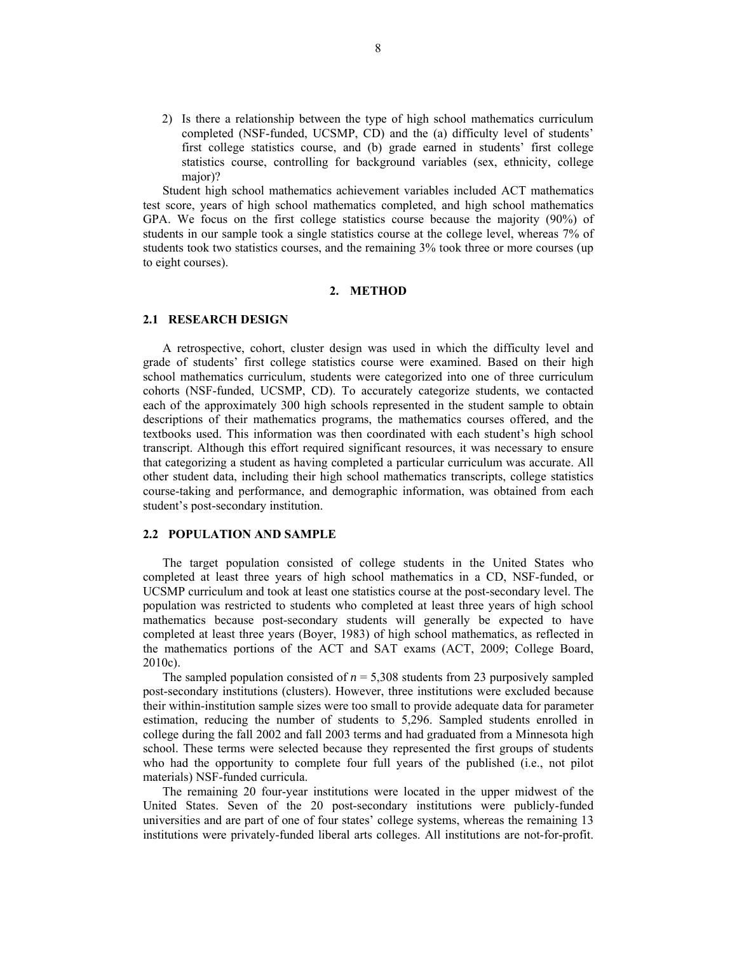2) Is there a relationship between the type of high school mathematics curriculum completed (NSF-funded, UCSMP, CD) and the (a) difficulty level of students' first college statistics course, and (b) grade earned in students' first college statistics course, controlling for background variables (sex, ethnicity, college major)?

Student high school mathematics achievement variables included ACT mathematics test score, years of high school mathematics completed, and high school mathematics GPA. We focus on the first college statistics course because the majority (90%) of students in our sample took a single statistics course at the college level, whereas 7% of students took two statistics courses, and the remaining 3% took three or more courses (up to eight courses).

## **2. METHOD**

#### **2.1 RESEARCH DESIGN**

A retrospective, cohort, cluster design was used in which the difficulty level and grade of students' first college statistics course were examined. Based on their high school mathematics curriculum, students were categorized into one of three curriculum cohorts (NSF-funded, UCSMP, CD). To accurately categorize students, we contacted each of the approximately 300 high schools represented in the student sample to obtain descriptions of their mathematics programs, the mathematics courses offered, and the textbooks used. This information was then coordinated with each student's high school transcript. Although this effort required significant resources, it was necessary to ensure that categorizing a student as having completed a particular curriculum was accurate. All other student data, including their high school mathematics transcripts, college statistics course-taking and performance, and demographic information, was obtained from each student's post-secondary institution.

#### **2.2 POPULATION AND SAMPLE**

The target population consisted of college students in the United States who completed at least three years of high school mathematics in a CD, NSF-funded, or UCSMP curriculum and took at least one statistics course at the post-secondary level. The population was restricted to students who completed at least three years of high school mathematics because post-secondary students will generally be expected to have completed at least three years (Boyer, 1983) of high school mathematics, as reflected in the mathematics portions of the ACT and SAT exams (ACT, 2009; College Board, 2010c).

The sampled population consisted of  $n = 5,308$  students from 23 purposively sampled post-secondary institutions (clusters). However, three institutions were excluded because their within-institution sample sizes were too small to provide adequate data for parameter estimation, reducing the number of students to 5,296. Sampled students enrolled in college during the fall 2002 and fall 2003 terms and had graduated from a Minnesota high school. These terms were selected because they represented the first groups of students who had the opportunity to complete four full years of the published (i.e., not pilot materials) NSF-funded curricula.

The remaining 20 four-year institutions were located in the upper midwest of the United States. Seven of the 20 post-secondary institutions were publicly-funded universities and are part of one of four states' college systems, whereas the remaining 13 institutions were privately-funded liberal arts colleges. All institutions are not-for-profit.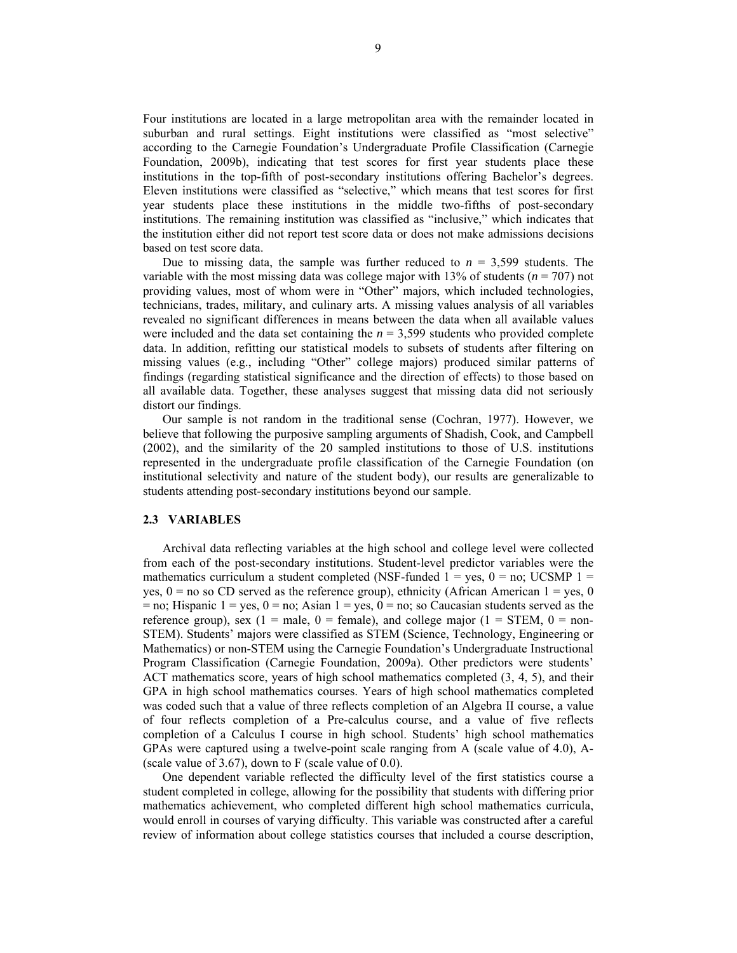Four institutions are located in a large metropolitan area with the remainder located in suburban and rural settings. Eight institutions were classified as "most selective" according to the Carnegie Foundation's Undergraduate Profile Classification (Carnegie Foundation, 2009b), indicating that test scores for first year students place these institutions in the top-fifth of post-secondary institutions offering Bachelor's degrees. Eleven institutions were classified as "selective," which means that test scores for first year students place these institutions in the middle two-fifths of post-secondary institutions. The remaining institution was classified as "inclusive," which indicates that the institution either did not report test score data or does not make admissions decisions based on test score data.

Due to missing data, the sample was further reduced to  $n = 3,599$  students. The variable with the most missing data was college major with 13% of students (*n* = 707) not providing values, most of whom were in "Other" majors, which included technologies, technicians, trades, military, and culinary arts. A missing values analysis of all variables revealed no significant differences in means between the data when all available values were included and the data set containing the  $n = 3.599$  students who provided complete data. In addition, refitting our statistical models to subsets of students after filtering on missing values (e.g., including "Other" college majors) produced similar patterns of findings (regarding statistical significance and the direction of effects) to those based on all available data. Together, these analyses suggest that missing data did not seriously distort our findings.

Our sample is not random in the traditional sense (Cochran, 1977). However, we believe that following the purposive sampling arguments of Shadish, Cook, and Campbell (2002), and the similarity of the 20 sampled institutions to those of U.S. institutions represented in the undergraduate profile classification of the Carnegie Foundation (on institutional selectivity and nature of the student body), our results are generalizable to students attending post-secondary institutions beyond our sample.

#### **2.3 VARIABLES**

Archival data reflecting variables at the high school and college level were collected from each of the post-secondary institutions. Student-level predictor variables were the mathematics curriculum a student completed (NSF-funded  $1 = yes$ ,  $0 = no$ ; UCSMP  $1 =$ yes,  $0 =$  no so CD served as the reference group), ethnicity (African American  $1 =$  yes, 0  $=$  no; Hispanic 1 = yes, 0 = no; Asian 1 = yes, 0 = no; so Caucasian students served as the reference group), sex (1 = male, 0 = female), and college major (1 = STEM, 0 = non-STEM). Students' majors were classified as STEM (Science, Technology, Engineering or Mathematics) or non-STEM using the Carnegie Foundation's Undergraduate Instructional Program Classification (Carnegie Foundation, 2009a). Other predictors were students' ACT mathematics score, years of high school mathematics completed (3, 4, 5), and their GPA in high school mathematics courses. Years of high school mathematics completed was coded such that a value of three reflects completion of an Algebra II course, a value of four reflects completion of a Pre-calculus course, and a value of five reflects completion of a Calculus I course in high school. Students' high school mathematics GPAs were captured using a twelve-point scale ranging from A (scale value of 4.0), A- (scale value of 3.67), down to F (scale value of 0.0).

One dependent variable reflected the difficulty level of the first statistics course a student completed in college, allowing for the possibility that students with differing prior mathematics achievement, who completed different high school mathematics curricula, would enroll in courses of varying difficulty. This variable was constructed after a careful review of information about college statistics courses that included a course description,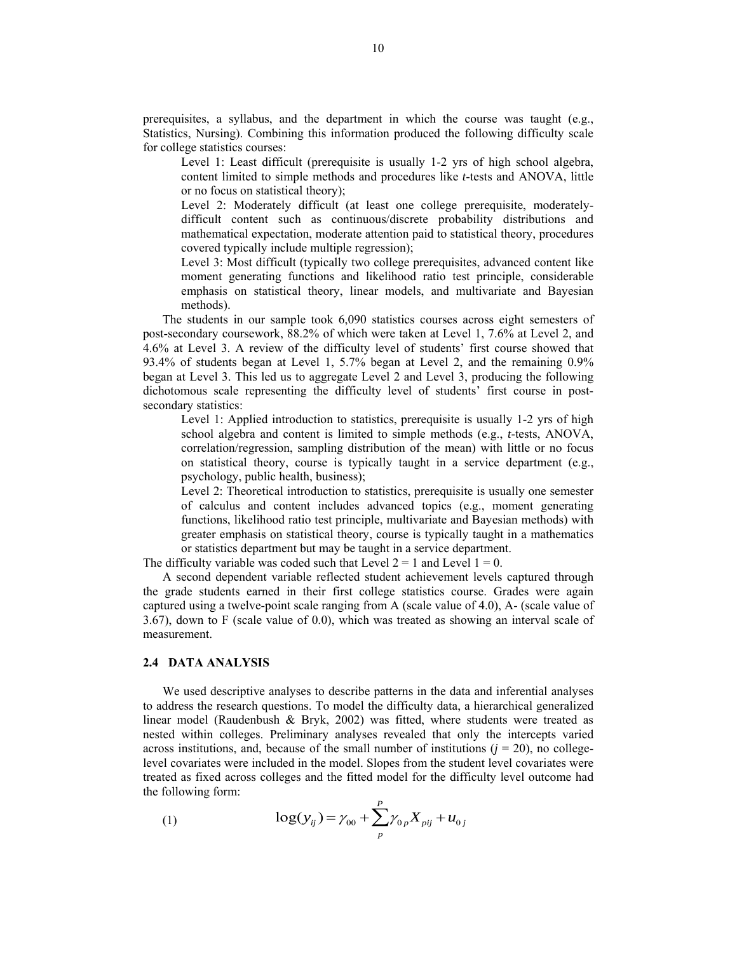prerequisites, a syllabus, and the department in which the course was taught (e.g., Statistics, Nursing). Combining this information produced the following difficulty scale for college statistics courses:

Level 1: Least difficult (prerequisite is usually 1-2 yrs of high school algebra, content limited to simple methods and procedures like *t*-tests and ANOVA, little or no focus on statistical theory);

Level 2: Moderately difficult (at least one college prerequisite, moderatelydifficult content such as continuous/discrete probability distributions and mathematical expectation, moderate attention paid to statistical theory, procedures covered typically include multiple regression);

Level 3: Most difficult (typically two college prerequisites, advanced content like moment generating functions and likelihood ratio test principle, considerable emphasis on statistical theory, linear models, and multivariate and Bayesian methods).

The students in our sample took 6,090 statistics courses across eight semesters of post-secondary coursework, 88.2% of which were taken at Level 1, 7.6% at Level 2, and 4.6% at Level 3. A review of the difficulty level of students' first course showed that 93.4% of students began at Level 1, 5.7% began at Level 2, and the remaining 0.9% began at Level 3. This led us to aggregate Level 2 and Level 3, producing the following dichotomous scale representing the difficulty level of students' first course in postsecondary statistics:

Level 1: Applied introduction to statistics, prerequisite is usually 1-2 yrs of high school algebra and content is limited to simple methods (e.g., *t*-tests, ANOVA, correlation/regression, sampling distribution of the mean) with little or no focus on statistical theory, course is typically taught in a service department (e.g., psychology, public health, business);

Level 2: Theoretical introduction to statistics, prerequisite is usually one semester of calculus and content includes advanced topics (e.g., moment generating functions, likelihood ratio test principle, multivariate and Bayesian methods) with greater emphasis on statistical theory, course is typically taught in a mathematics or statistics department but may be taught in a service department.

The difficulty variable was coded such that Level  $2 = 1$  and Level  $1 = 0$ .

A second dependent variable reflected student achievement levels captured through the grade students earned in their first college statistics course. Grades were again captured using a twelve-point scale ranging from A (scale value of 4.0), A- (scale value of 3.67), down to F (scale value of 0.0), which was treated as showing an interval scale of measurement.

## **2.4 DATA ANALYSIS**

We used descriptive analyses to describe patterns in the data and inferential analyses to address the research questions. To model the difficulty data, a hierarchical generalized linear model (Raudenbush & Bryk, 2002) was fitted, where students were treated as nested within colleges. Preliminary analyses revealed that only the intercepts varied across institutions, and, because of the small number of institutions  $(j = 20)$ , no collegelevel covariates were included in the model. Slopes from the student level covariates were treated as fixed across colleges and the fitted model for the difficulty level outcome had the following form:

(1) 
$$
\log(y_{ij}) = \gamma_{00} + \sum_{p}^{P} \gamma_{0p} X_{pij} + u_{0j}
$$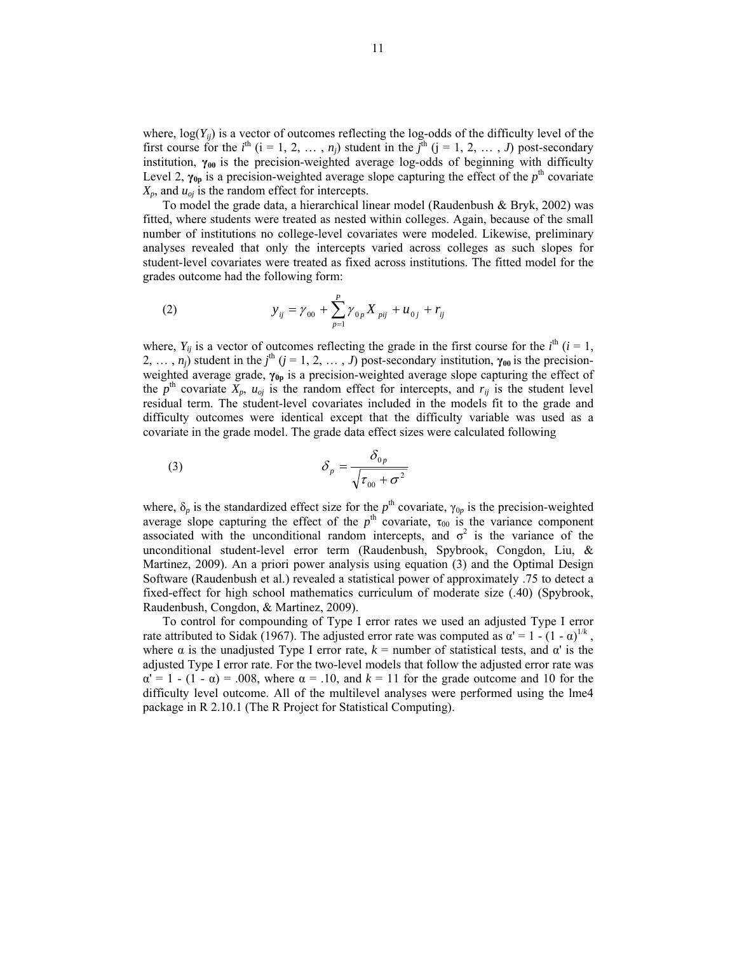where,  $log(Y_{ii})$  is a vector of outcomes reflecting the log-odds of the difficulty level of the first course for the *i*<sup>th</sup> (i = 1, 2, ..., *n<sub>j</sub>*) student in the  $\tilde{j}$ <sup>th</sup> (j = 1, 2, ..., *J*) post-secondary institution, **γ00** is the precision-weighted average log-odds of beginning with difficulty Level 2,  $\gamma_{0p}$  is a precision-weighted average slope capturing the effect of the  $p^{\text{th}}$  covariate  $X_p$ , and  $u_{oj}$  is the random effect for intercepts.

To model the grade data, a hierarchical linear model (Raudenbush & Bryk, 2002) was fitted, where students were treated as nested within colleges. Again, because of the small number of institutions no college-level covariates were modeled. Likewise, preliminary analyses revealed that only the intercepts varied across colleges as such slopes for student-level covariates were treated as fixed across institutions. The fitted model for the grades outcome had the following form:

(2) 
$$
y_{ij} = \gamma_{00} + \sum_{p=1}^{P} \gamma_{0p} X_{pi} + u_{0j} + r_{ij}
$$

where,  $Y_{ij}$  is a vector of outcomes reflecting the grade in the first course for the  $i^{\text{th}}$  ( $i = 1$ , 2, ...,  $n_j$ ) student in the  $j^{\text{th}}$  ( $j = 1, 2, ..., J$ ) post-secondary institution,  $\gamma_{00}$  is the precisionweighted average grade, **γ0p** is a precision-weighted average slope capturing the effect of the  $p^{\text{th}}$  covariate  $X_p$ ,  $u_{oj}$  is the random effect for intercepts, and  $r_{ij}$  is the student level residual term. The student-level covariates included in the models fit to the grade and difficulty outcomes were identical except that the difficulty variable was used as a covariate in the grade model. The grade data effect sizes were calculated following

(3) 
$$
\delta_p = \frac{\delta_{0p}}{\sqrt{\tau_{00} + \sigma^2}}
$$

where,  $\delta_p$  is the standardized effect size for the  $p^{\text{th}}$  covariate,  $\gamma_{0p}$  is the precision-weighted average slope capturing the effect of the  $p^{\text{th}}$  covariate,  $\tau_{00}$  is the variance component associated with the unconditional random intercepts, and  $\sigma^2$  is the variance of the unconditional student-level error term (Raudenbush, Spybrook, Congdon, Liu, & Martinez, 2009). An a priori power analysis using equation (3) and the Optimal Design Software (Raudenbush et al.) revealed a statistical power of approximately .75 to detect a fixed-effect for high school mathematics curriculum of moderate size (.40) (Spybrook, Raudenbush, Congdon, & Martinez, 2009).

To control for compounding of Type I error rates we used an adjusted Type I error rate attributed to Sidak (1967). The adjusted error rate was computed as  $\alpha' = 1 - (1 - \alpha)^{1/k}$ , where  $\alpha$  is the unadjusted Type I error rate,  $k =$  number of statistical tests, and  $\alpha'$  is the adjusted Type I error rate. For the two-level models that follow the adjusted error rate was  $\alpha' = 1$  - (1 -  $\alpha$ ) = .008, where  $\alpha = 0.10$ , and  $k = 11$  for the grade outcome and 10 for the difficulty level outcome. All of the multilevel analyses were performed using the lme4 package in R 2.10.1 (The R Project for Statistical Computing).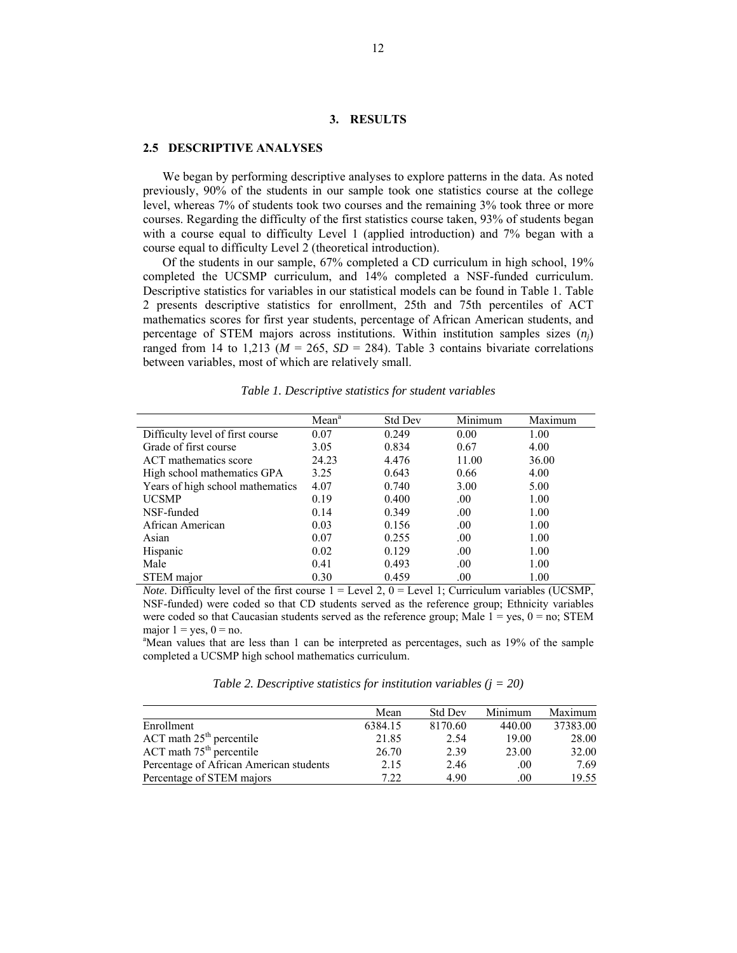## **3. RESULTS**

#### **2.5 DESCRIPTIVE ANALYSES**

We began by performing descriptive analyses to explore patterns in the data. As noted previously, 90% of the students in our sample took one statistics course at the college level, whereas 7% of students took two courses and the remaining 3% took three or more courses. Regarding the difficulty of the first statistics course taken, 93% of students began with a course equal to difficulty Level 1 (applied introduction) and 7% began with a course equal to difficulty Level 2 (theoretical introduction).

Of the students in our sample, 67% completed a CD curriculum in high school, 19% completed the UCSMP curriculum, and 14% completed a NSF-funded curriculum. Descriptive statistics for variables in our statistical models can be found in Table 1. Table 2 presents descriptive statistics for enrollment, 25th and 75th percentiles of ACT mathematics scores for first year students, percentage of African American students, and percentage of STEM majors across institutions. Within institution samples sizes (*nj*) ranged from 14 to 1,213 ( $M = 265$ ,  $SD = 284$ ). Table 3 contains bivariate correlations between variables, most of which are relatively small.

|                                  | Mean <sup>a</sup> | <b>Std Dev</b> | Minimum | Maximum |
|----------------------------------|-------------------|----------------|---------|---------|
| Difficulty level of first course | 0.07              | 0.249          | 0.00    | 1.00    |
| Grade of first course            | 3.05              | 0.834          | 0.67    | 4.00    |
| ACT mathematics score            | 24.23             | 4.476          | 11.00   | 36.00   |
| High school mathematics GPA      | 3.25              | 0.643          | 0.66    | 4.00    |
| Years of high school mathematics | 4.07              | 0.740          | 3.00    | 5.00    |
| <b>UCSMP</b>                     | 0.19              | 0.400          | .00.    | 1.00    |
| NSF-funded                       | 0.14              | 0.349          | .00.    | 1.00    |
| African American                 | 0.03              | 0.156          | .00.    | 1.00    |
| Asian                            | 0.07              | 0.255          | .00.    | 1.00    |
| Hispanic                         | 0.02              | 0.129          | .00.    | 1.00    |
| Male                             | 0.41              | 0.493          | .00.    | 1.00    |
| STEM major                       | 0.30              | 0.459          | .00     | 1.00    |

*Table 1. Descriptive statistics for student variables* 

*Note*. Difficulty level of the first course  $1 = \text{Level 2}$ ,  $0 = \text{Level 1}$ ; Curriculum variables (UCSMP, NSF-funded) were coded so that CD students served as the reference group; Ethnicity variables were coded so that Caucasian students served as the reference group; Male  $1 = yes$ ,  $0 = no$ ; STEM major  $1 = yes$ ,  $0 = no$ .

<sup>a</sup>Mean values that are less than 1 can be interpreted as percentages, such as 19% of the sample completed a UCSMP high school mathematics curriculum.

*Table 2. Descriptive statistics for institution variables (j = 20)* 

|                                         | Mean    | <b>Std Dev</b> | Minimum | Maximum  |
|-----------------------------------------|---------|----------------|---------|----------|
| Enrollment                              | 6384.15 | 8170.60        | 440.00  | 37383.00 |
| $ACT$ math $25th$ percentile            | 21.85   | 2.54           | 19.00   | 28.00    |
| $ACT$ math $75th$ percentile            | 26.70   | 2.39           | 23.00   | 32.00    |
| Percentage of African American students | 2.15    | 2.46           | .00     | 7.69     |
| Percentage of STEM majors               | 7 22    | 4.90           | .00     | 19.55    |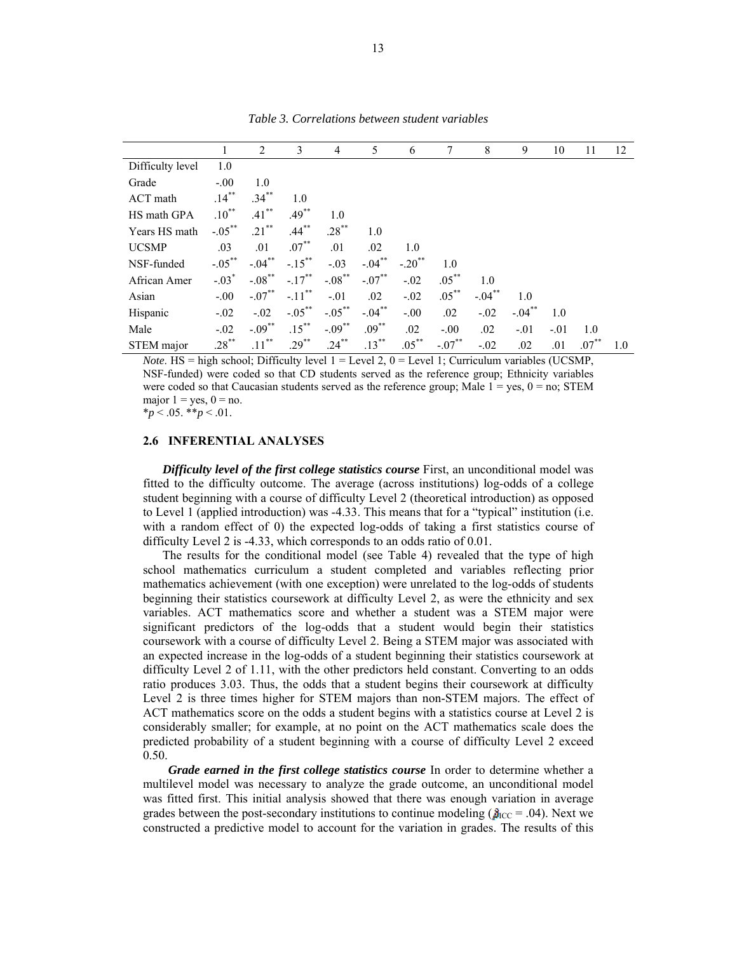|                  | 1         | 2         | 3                    | 4         | 5         | 6                    | 7        | 8         | 9        | 10     | 11       | 12  |
|------------------|-----------|-----------|----------------------|-----------|-----------|----------------------|----------|-----------|----------|--------|----------|-----|
| Difficulty level | 1.0       |           |                      |           |           |                      |          |           |          |        |          |     |
| Grade            | $-.00$    | 1.0       |                      |           |           |                      |          |           |          |        |          |     |
| ACT math         | $.14***$  | $.34***$  | 1.0                  |           |           |                      |          |           |          |        |          |     |
| HS math GPA      | $.10***$  | $.41***$  | $.49***$             | 1.0       |           |                      |          |           |          |        |          |     |
| Years HS math    | $-.05***$ | $.21***$  | $.44***$             | $.28***$  | 1.0       |                      |          |           |          |        |          |     |
| <b>UCSMP</b>     | .03       | .01       | $.07***$             | .01       | .02       | 1.0                  |          |           |          |        |          |     |
| NSF-funded       | $-.05***$ | $-.04***$ | $-.15***$            | $-.03$    | $-.04***$ | $-.20$ <sup>**</sup> | 1.0      |           |          |        |          |     |
| African Amer     | $-.03*$   | $-.08***$ | $-.17***$            | $-.08***$ | $-.07**$  | $-.02$               | $.05***$ | 1.0       |          |        |          |     |
| Asian            | $-.00$    | $-.07**$  | $-.11$ <sup>**</sup> | $-.01$    | .02       | $-.02$               | $.05***$ | $-.04***$ | 1.0      |        |          |     |
| Hispanic         | $-.02$    | $-.02$    | $-.05***$            | $-.05***$ | $-.04***$ | $-.00$               | .02      | $-.02$    | $-.04**$ | 1.0    |          |     |
| Male             | $-.02$    | $-.09***$ | $.15***$             | $-.09***$ | $.09***$  | .02                  | $-.00$   | .02       | $-.01$   | $-.01$ | 1.0      |     |
| STEM major       | $.28***$  | $.11***$  | $.29***$             | $.24***$  | $.13***$  | $.05***$             | $-.07**$ | $-.02$    | .02      | .01    | $.07***$ | 1.0 |

*Table 3. Correlations between student variables* 

*Note*. HS = high school; Difficulty level  $1 = \text{Level 2}$ ,  $0 = \text{Level 1}$ ; Curriculum variables (UCSMP, NSF-funded) were coded so that CD students served as the reference group; Ethnicity variables were coded so that Caucasian students served as the reference group; Male  $1 = yes$ ,  $0 = no$ ; STEM major  $1 = yes$ ,  $0 = no$ .

 $*_{p}$  < .05.  $*_{p}$  < .01.

#### **2.6 INFERENTIAL ANALYSES**

*Difficulty level of the first college statistics course* First, an unconditional model was fitted to the difficulty outcome. The average (across institutions) log-odds of a college student beginning with a course of difficulty Level 2 (theoretical introduction) as opposed to Level 1 (applied introduction) was -4.33. This means that for a "typical" institution (i.e. with a random effect of 0) the expected log-odds of taking a first statistics course of difficulty Level 2 is -4.33, which corresponds to an odds ratio of 0.01.

The results for the conditional model (see Table 4) revealed that the type of high school mathematics curriculum a student completed and variables reflecting prior mathematics achievement (with one exception) were unrelated to the log-odds of students beginning their statistics coursework at difficulty Level 2, as were the ethnicity and sex variables. ACT mathematics score and whether a student was a STEM major were significant predictors of the log-odds that a student would begin their statistics coursework with a course of difficulty Level 2. Being a STEM major was associated with an expected increase in the log-odds of a student beginning their statistics coursework at difficulty Level 2 of 1.11, with the other predictors held constant. Converting to an odds ratio produces 3.03. Thus, the odds that a student begins their coursework at difficulty Level 2 is three times higher for STEM majors than non-STEM majors. The effect of ACT mathematics score on the odds a student begins with a statistics course at Level 2 is considerably smaller; for example, at no point on the ACT mathematics scale does the predicted probability of a student beginning with a course of difficulty Level 2 exceed 0.50.

 *Grade earned in the first college statistics course* In order to determine whether a multilevel model was necessary to analyze the grade outcome, an unconditional model was fitted first. This initial analysis showed that there was enough variation in average grades between the post-secondary institutions to continue modeling ( $\hat{p}_{\text{ICC}} = .04$ ). Next we constructed a predictive model to account for the variation in grades. The results of this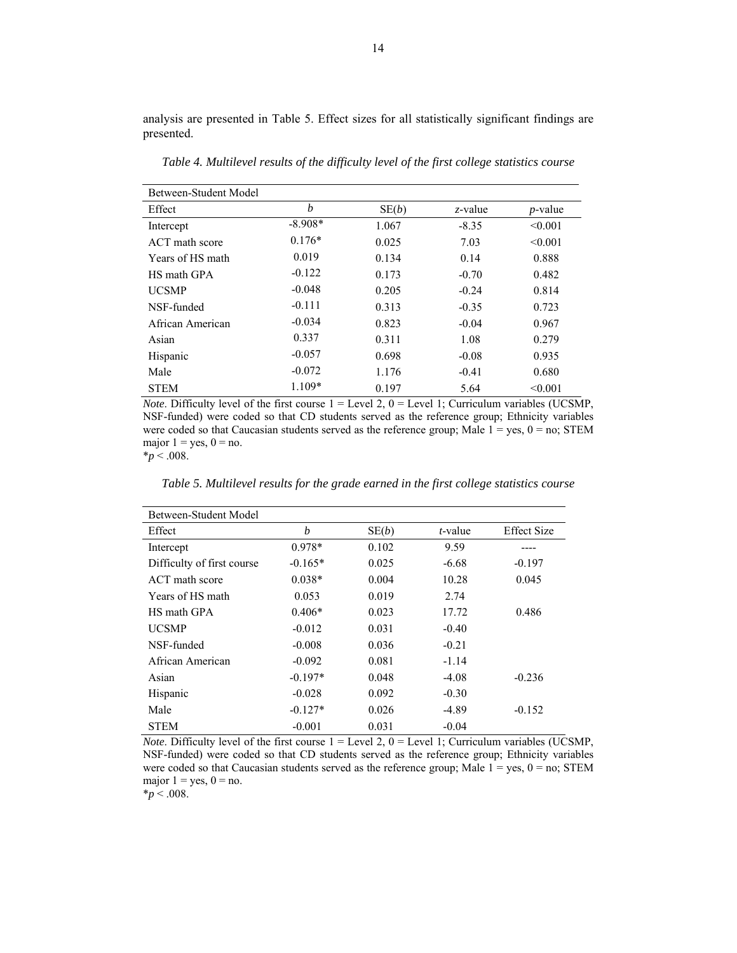analysis are presented in Table 5. Effect sizes for all statistically significant findings are presented.

Between-Student Model Effect  $b$   $SE(b)$  *z*-value *p*-value Intercept -8.908\* 1.067 -8.35 <0.001 ACT math score  $0.176^*$  0.025 7.03 < 0.001 Years of HS math  $0.019$  0.134 0.14 0.888 HS math GPA -0.122 0.173 -0.70 0.482 UCSMP -0.048 0.205 -0.24 0.814 NSF-funded -0.111 0.313 -0.35 0.723 African American  $-0.034$  0.823  $-0.04$  0.967 Asian 0.337 0.311 1.08 0.279 Hispanic -0.057 0.698 -0.08 0.935 Male  $-0.072$  1.176  $-0.41$  0.680 STEM  $1.109*$  0.197 5.64 <0.001

*Table 4. Multilevel results of the difficulty level of the first college statistics course* 

*Note*. Difficulty level of the first course  $1 =$  Level 2,  $0 =$  Level 1; Curriculum variables (UCSMP, NSF-funded) were coded so that CD students served as the reference group; Ethnicity variables were coded so that Caucasian students served as the reference group; Male  $1 = yes$ ,  $0 = no$ ; STEM major  $1 = yes$ ,  $0 = no$ .

\**p* < .008.

*Table 5. Multilevel results for the grade earned in the first college statistics course* 

| Between-Student Model      |           |       |         |                    |  |  |  |
|----------------------------|-----------|-------|---------|--------------------|--|--|--|
| Effect                     | b         | SE(b) | t-value | <b>Effect Size</b> |  |  |  |
| Intercept                  | $0.978*$  | 0.102 | 9.59    |                    |  |  |  |
| Difficulty of first course | $-0.165*$ | 0.025 | $-6.68$ | $-0.197$           |  |  |  |
| ACT math score             | $0.038*$  | 0.004 | 10.28   | 0.045              |  |  |  |
| Years of HS math           | 0.053     | 0.019 | 2.74    |                    |  |  |  |
| HS math GPA                | $0.406*$  | 0.023 | 17.72   | 0.486              |  |  |  |
| <b>UCSMP</b>               | $-0.012$  | 0.031 | $-0.40$ |                    |  |  |  |
| NSF-funded                 | $-0.008$  | 0.036 | $-0.21$ |                    |  |  |  |
| African American           | $-0.092$  | 0.081 | $-1.14$ |                    |  |  |  |
| Asian                      | $-0.197*$ | 0.048 | $-4.08$ | $-0.236$           |  |  |  |
| Hispanic                   | $-0.028$  | 0.092 | $-0.30$ |                    |  |  |  |
| Male                       | $-0.127*$ | 0.026 | $-4.89$ | $-0.152$           |  |  |  |
| <b>STEM</b>                | $-0.001$  | 0.031 | $-0.04$ |                    |  |  |  |

*Note*. Difficulty level of the first course  $1 = \text{Level 2}$ ,  $0 = \text{Level 1}$ ; Curriculum variables (UCSMP, NSF-funded) were coded so that CD students served as the reference group; Ethnicity variables were coded so that Caucasian students served as the reference group; Male  $1 = yes$ ,  $0 = no$ ; STEM major  $1 = yes$ ,  $0 = no$ .

 $*_{p}$  < .008.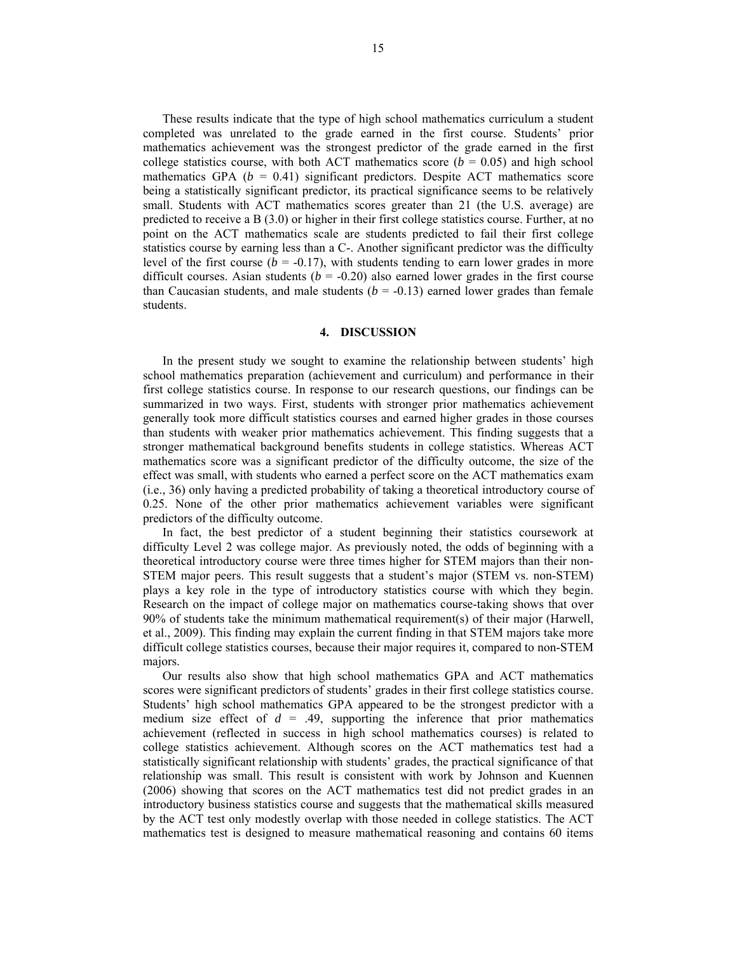These results indicate that the type of high school mathematics curriculum a student completed was unrelated to the grade earned in the first course. Students' prior mathematics achievement was the strongest predictor of the grade earned in the first college statistics course, with both ACT mathematics score  $(b = 0.05)$  and high school mathematics GPA  $(b = 0.41)$  significant predictors. Despite ACT mathematics score being a statistically significant predictor, its practical significance seems to be relatively small. Students with ACT mathematics scores greater than 21 (the U.S. average) are predicted to receive a B (3.0) or higher in their first college statistics course. Further, at no point on the ACT mathematics scale are students predicted to fail their first college statistics course by earning less than a C-. Another significant predictor was the difficulty level of the first course ( $b = -0.17$ ), with students tending to earn lower grades in more difficult courses. Asian students  $(b = -0.20)$  also earned lower grades in the first course than Caucasian students, and male students  $(b = -0.13)$  earned lower grades than female students.

## **4. DISCUSSION**

In the present study we sought to examine the relationship between students' high school mathematics preparation (achievement and curriculum) and performance in their first college statistics course. In response to our research questions, our findings can be summarized in two ways. First, students with stronger prior mathematics achievement generally took more difficult statistics courses and earned higher grades in those courses than students with weaker prior mathematics achievement. This finding suggests that a stronger mathematical background benefits students in college statistics. Whereas ACT mathematics score was a significant predictor of the difficulty outcome, the size of the effect was small, with students who earned a perfect score on the ACT mathematics exam (i.e., 36) only having a predicted probability of taking a theoretical introductory course of 0.25. None of the other prior mathematics achievement variables were significant predictors of the difficulty outcome.

In fact, the best predictor of a student beginning their statistics coursework at difficulty Level 2 was college major. As previously noted, the odds of beginning with a theoretical introductory course were three times higher for STEM majors than their non-STEM major peers. This result suggests that a student's major (STEM vs. non-STEM) plays a key role in the type of introductory statistics course with which they begin. Research on the impact of college major on mathematics course-taking shows that over 90% of students take the minimum mathematical requirement(s) of their major (Harwell, et al., 2009). This finding may explain the current finding in that STEM majors take more difficult college statistics courses, because their major requires it, compared to non-STEM majors.

Our results also show that high school mathematics GPA and ACT mathematics scores were significant predictors of students' grades in their first college statistics course. Students' high school mathematics GPA appeared to be the strongest predictor with a medium size effect of  $d = .49$ , supporting the inference that prior mathematics achievement (reflected in success in high school mathematics courses) is related to college statistics achievement. Although scores on the ACT mathematics test had a statistically significant relationship with students' grades, the practical significance of that relationship was small. This result is consistent with work by Johnson and Kuennen (2006) showing that scores on the ACT mathematics test did not predict grades in an introductory business statistics course and suggests that the mathematical skills measured by the ACT test only modestly overlap with those needed in college statistics. The ACT mathematics test is designed to measure mathematical reasoning and contains 60 items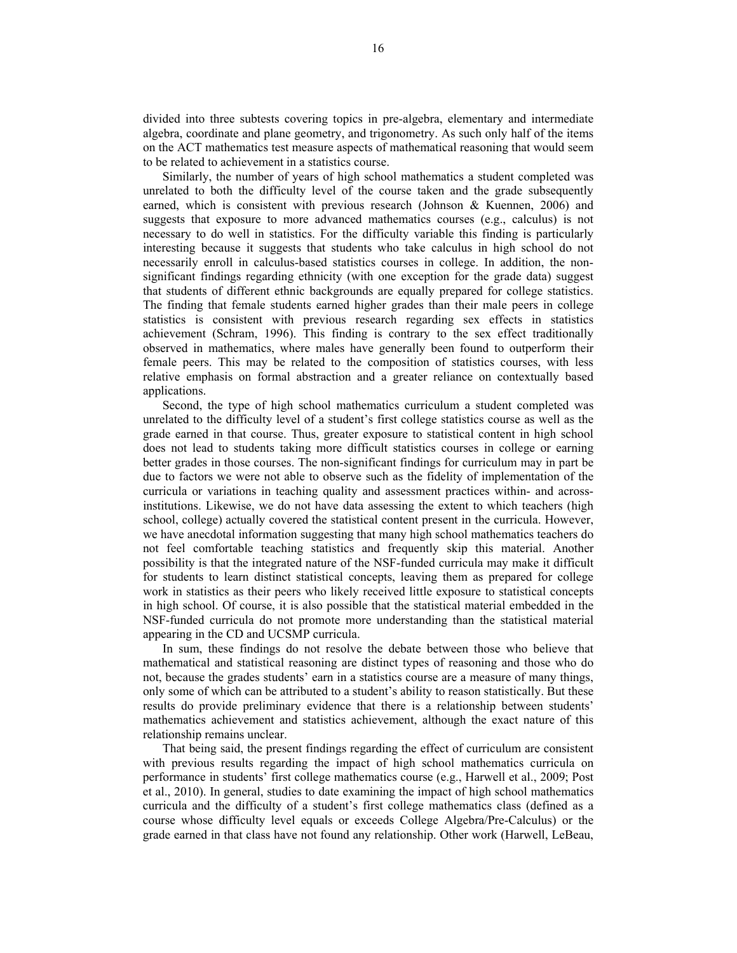divided into three subtests covering topics in pre-algebra, elementary and intermediate algebra, coordinate and plane geometry, and trigonometry. As such only half of the items on the ACT mathematics test measure aspects of mathematical reasoning that would seem to be related to achievement in a statistics course.

Similarly, the number of years of high school mathematics a student completed was unrelated to both the difficulty level of the course taken and the grade subsequently earned, which is consistent with previous research (Johnson & Kuennen, 2006) and suggests that exposure to more advanced mathematics courses (e.g., calculus) is not necessary to do well in statistics. For the difficulty variable this finding is particularly interesting because it suggests that students who take calculus in high school do not necessarily enroll in calculus-based statistics courses in college. In addition, the nonsignificant findings regarding ethnicity (with one exception for the grade data) suggest that students of different ethnic backgrounds are equally prepared for college statistics. The finding that female students earned higher grades than their male peers in college statistics is consistent with previous research regarding sex effects in statistics achievement (Schram, 1996). This finding is contrary to the sex effect traditionally observed in mathematics, where males have generally been found to outperform their female peers. This may be related to the composition of statistics courses, with less relative emphasis on formal abstraction and a greater reliance on contextually based applications.

Second, the type of high school mathematics curriculum a student completed was unrelated to the difficulty level of a student's first college statistics course as well as the grade earned in that course. Thus, greater exposure to statistical content in high school does not lead to students taking more difficult statistics courses in college or earning better grades in those courses. The non-significant findings for curriculum may in part be due to factors we were not able to observe such as the fidelity of implementation of the curricula or variations in teaching quality and assessment practices within- and acrossinstitutions. Likewise, we do not have data assessing the extent to which teachers (high school, college) actually covered the statistical content present in the curricula. However, we have anecdotal information suggesting that many high school mathematics teachers do not feel comfortable teaching statistics and frequently skip this material. Another possibility is that the integrated nature of the NSF-funded curricula may make it difficult for students to learn distinct statistical concepts, leaving them as prepared for college work in statistics as their peers who likely received little exposure to statistical concepts in high school. Of course, it is also possible that the statistical material embedded in the NSF-funded curricula do not promote more understanding than the statistical material appearing in the CD and UCSMP curricula.

In sum, these findings do not resolve the debate between those who believe that mathematical and statistical reasoning are distinct types of reasoning and those who do not, because the grades students' earn in a statistics course are a measure of many things, only some of which can be attributed to a student's ability to reason statistically. But these results do provide preliminary evidence that there is a relationship between students' mathematics achievement and statistics achievement, although the exact nature of this relationship remains unclear.

That being said, the present findings regarding the effect of curriculum are consistent with previous results regarding the impact of high school mathematics curricula on performance in students' first college mathematics course (e.g., Harwell et al., 2009; Post et al., 2010). In general, studies to date examining the impact of high school mathematics curricula and the difficulty of a student's first college mathematics class (defined as a course whose difficulty level equals or exceeds College Algebra/Pre-Calculus) or the grade earned in that class have not found any relationship. Other work (Harwell, LeBeau,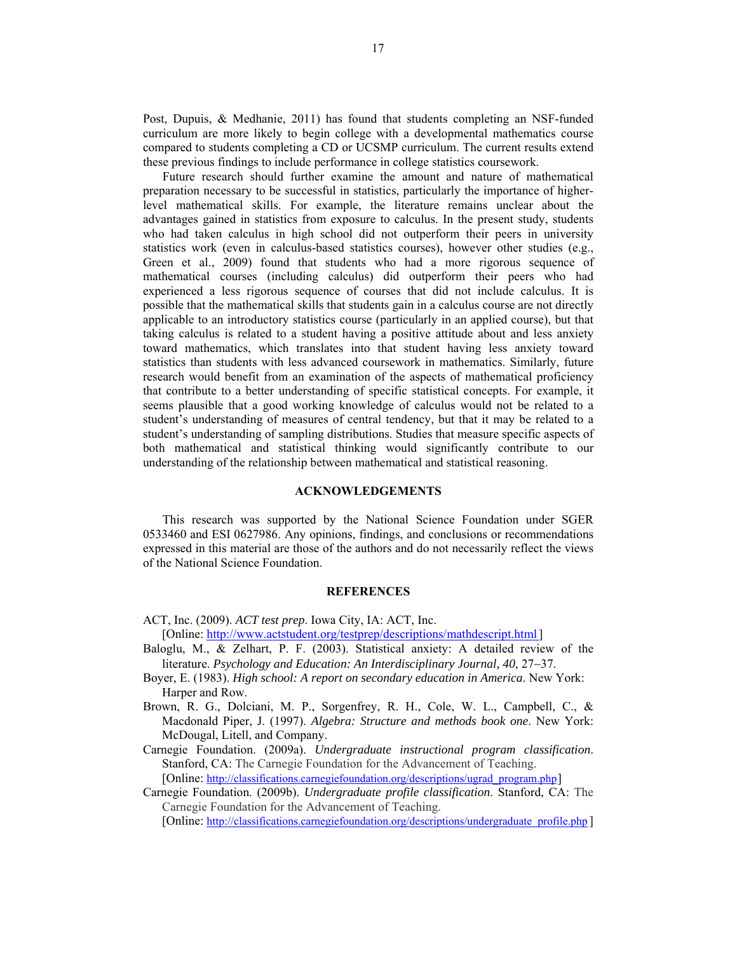Post, Dupuis, & Medhanie, 2011) has found that students completing an NSF-funded curriculum are more likely to begin college with a developmental mathematics course compared to students completing a CD or UCSMP curriculum. The current results extend these previous findings to include performance in college statistics coursework.

Future research should further examine the amount and nature of mathematical preparation necessary to be successful in statistics, particularly the importance of higherlevel mathematical skills. For example, the literature remains unclear about the advantages gained in statistics from exposure to calculus. In the present study, students who had taken calculus in high school did not outperform their peers in university statistics work (even in calculus-based statistics courses), however other studies (e.g., Green et al., 2009) found that students who had a more rigorous sequence of mathematical courses (including calculus) did outperform their peers who had experienced a less rigorous sequence of courses that did not include calculus. It is possible that the mathematical skills that students gain in a calculus course are not directly applicable to an introductory statistics course (particularly in an applied course), but that taking calculus is related to a student having a positive attitude about and less anxiety toward mathematics, which translates into that student having less anxiety toward statistics than students with less advanced coursework in mathematics. Similarly, future research would benefit from an examination of the aspects of mathematical proficiency that contribute to a better understanding of specific statistical concepts. For example, it seems plausible that a good working knowledge of calculus would not be related to a student's understanding of measures of central tendency, but that it may be related to a student's understanding of sampling distributions. Studies that measure specific aspects of both mathematical and statistical thinking would significantly contribute to our understanding of the relationship between mathematical and statistical reasoning.

## **ACKNOWLEDGEMENTS**

This research was supported by the National Science Foundation under SGER 0533460 and ESI 0627986. Any opinions, findings, and conclusions or recommendations expressed in this material are those of the authors and do not necessarily reflect the views of the National Science Foundation.

### **REFERENCES**

ACT, Inc. (2009). *ACT test prep*. Iowa City, IA: ACT, Inc.

[Online: http://www.actstudent.org/testprep/descriptions/mathdescript.html]

- Baloglu, M., & Zelhart, P. F. (2003). Statistical anxiety: A detailed review of the literature. *Psychology and Education: An Interdisciplinary Journal, 40, 27–37.*
- Boyer, E. (1983). *High school: A report on secondary education in America*. New York: Harper and Row.
- Brown, R. G., Dolciani, M. P., Sorgenfrey, R. H., Cole, W. L., Campbell, C., & Macdonald Piper, J. (1997). *Algebra: Structure and methods book one*. New York: McDougal, Litell, and Company.

Carnegie Foundation. (2009a). *Undergraduate instructional program classification*. Stanford, CA: The Carnegie Foundation for the Advancement of Teaching. [Online: http://classifications.carnegiefoundation.org/descriptions/ugrad\_program.php]

Carnegie Foundation. (2009b). *Undergraduate profile classification*. Stanford, CA: The Carnegie Foundation for the Advancement of Teaching.

[Online: http://classifications.carnegiefoundation.org/descriptions/undergraduate\_profile.php ]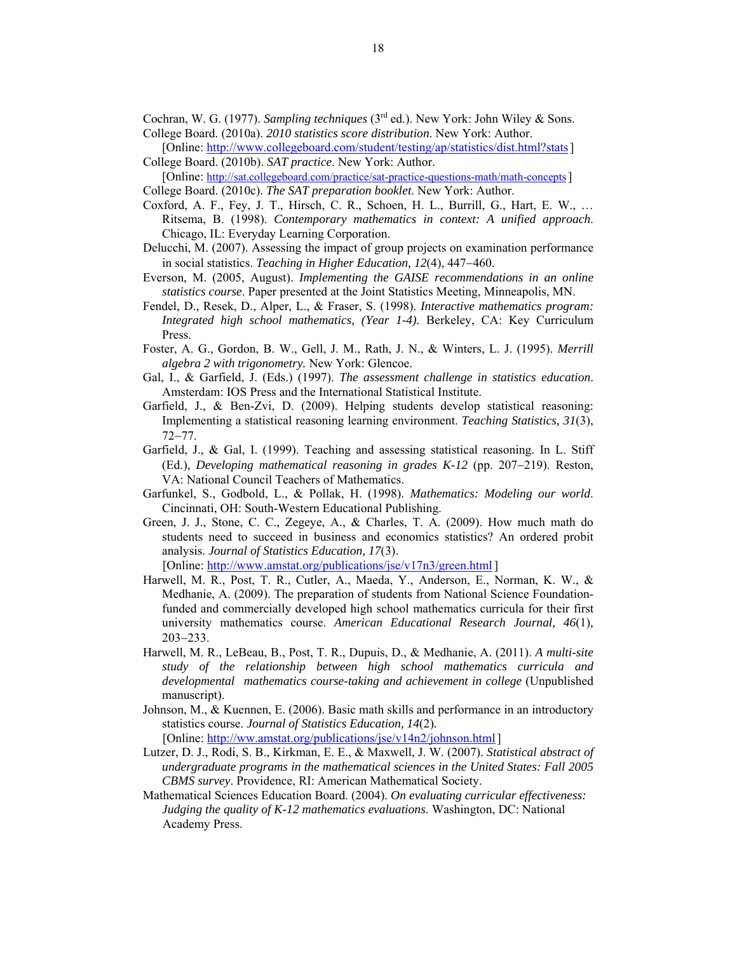Cochran, W. G. (1977). *Sampling techniques* (3rd ed.). New York: John Wiley & Sons. College Board. (2010a). *2010 statistics score distribution*. New York: Author.

[Online: http://www.collegeboard.com/student/testing/ap/statistics/dist.html?stats] College Board. (2010b). *SAT practice*. New York: Author.

[Online: http://sat.collegeboard.com/practice/sat-practice-questions-math/math-concepts] College Board. (2010c). *The SAT preparation booklet*. New York: Author.

- Coxford, A. F., Fey, J. T., Hirsch, C. R., Schoen, H. L., Burrill, G., Hart, E. W., … Ritsema, B. (1998). *Contemporary mathematics in context: A unified approach*. Chicago, IL: Everyday Learning Corporation.
- Delucchi, M. (2007). Assessing the impact of group projects on examination performance in social statistics. *Teaching in Higher Education, 12(4), 447–460.*
- Everson, M. (2005, August). *Implementing the GAISE recommendations in an online statistics course*. Paper presented at the Joint Statistics Meeting, Minneapolis, MN.
- Fendel, D., Resek, D., Alper, L., & Fraser, S. (1998). *Interactive mathematics program: Integrated high school mathematics, (Year 1-4).* Berkeley, CA: Key Curriculum Press.
- Foster, A. G., Gordon, B. W., Gell, J. M., Rath, J. N., & Winters, L. J. (1995). *Merrill algebra 2 with trigonometry.* New York: Glencoe.
- Gal, I., & Garfield, J. (Eds.) (1997). *The assessment challenge in statistics education*. Amsterdam: IOS Press and the International Statistical Institute.
- Garfield, J., & Ben-Zvi, D. (2009). Helping students develop statistical reasoning: Implementing a statistical reasoning learning environment. *Teaching Statistics, 31*(3),  $72 - 77$ .
- Garfield, J., & Gal, I. (1999). Teaching and assessing statistical reasoning. In L. Stiff (Ed.), *Developing mathematical reasoning in grades K-12* (pp. 207–219). Reston, VA: National Council Teachers of Mathematics.
- Garfunkel, S., Godbold, L., & Pollak, H. (1998). *Mathematics: Modeling our world*. Cincinnati, OH: South-Western Educational Publishing.
- Green, J. J., Stone, C. C., Zegeye, A., & Charles, T. A. (2009). How much math do students need to succeed in business and economics statistics? An ordered probit analysis. *Journal of Statistics Education, 17*(3).

[Online: http://www.amstat.org/publications/jse/v17n3/green.html]

- Harwell, M. R., Post, T. R., Cutler, A., Maeda, Y., Anderson, E., Norman, K. W., & Medhanie, A. (2009). The preparation of students from National Science Foundationfunded and commercially developed high school mathematics curricula for their first university mathematics course. *American Educational Research Journal, 46*(1)*,*  $203 - 233$ .
- Harwell, M. R., LeBeau, B., Post, T. R., Dupuis, D., & Medhanie, A. (2011). *A multi-site study of the relationship between high school mathematics curricula and developmental mathematics course-taking and achievement in college* (Unpublished manuscript).
- Johnson, M., & Kuennen, E. (2006). Basic math skills and performance in an introductory statistics course. *Journal of Statistics Education, 14*(2)*.*  [Online: http://ww.amstat.org/publications/jse/v14n2/johnson.html]
- Lutzer, D. J., Rodi, S. B., Kirkman, E. E., & Maxwell, J. W. (2007). *Statistical abstract of undergraduate programs in the mathematical sciences in the United States: Fall 2005 CBMS survey*. Providence, RI: American Mathematical Society.
- Mathematical Sciences Education Board. (2004). *On evaluating curricular effectiveness: Judging the quality of K-12 mathematics evaluations*. Washington, DC: National Academy Press.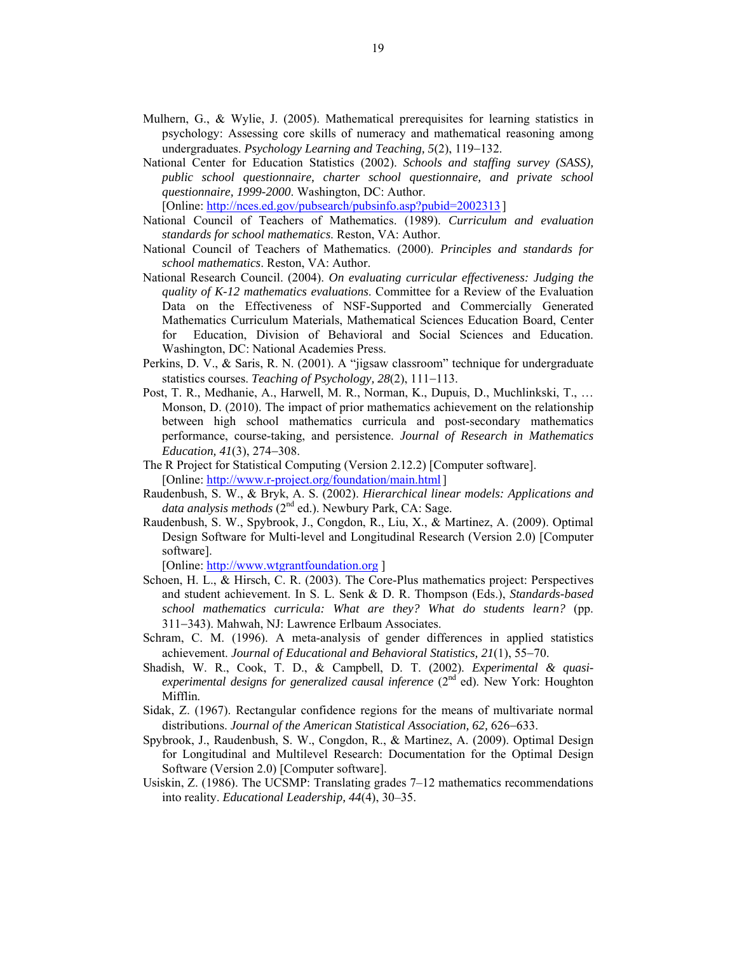- Mulhern, G., & Wylie, J. (2005). Mathematical prerequisites for learning statistics in psychology: Assessing core skills of numeracy and mathematical reasoning among undergraduates. *Psychology Learning and Teaching, 5(2)*, 119–132.
- National Center for Education Statistics (2002). *Schools and staffing survey (SASS), public school questionnaire, charter school questionnaire, and private school questionnaire, 1999-2000*. Washington, DC: Author. [Online: http://nces.ed.gov/pubsearch/pubsinfo.asp?pubid=2002313 ]

- National Council of Teachers of Mathematics. (1989). *Curriculum and evaluation standards for school mathematics*. Reston, VA: Author.
- National Council of Teachers of Mathematics. (2000). *Principles and standards for school mathematics*. Reston, VA: Author.
- National Research Council. (2004). *On evaluating curricular effectiveness: Judging the quality of K-12 mathematics evaluations*. Committee for a Review of the Evaluation Data on the Effectiveness of NSF-Supported and Commercially Generated Mathematics Curriculum Materials, Mathematical Sciences Education Board, Center for Education, Division of Behavioral and Social Sciences and Education. Washington, DC: National Academies Press.
- Perkins, D. V., & Saris, R. N. (2001). A "jigsaw classroom" technique for undergraduate statistics courses. *Teaching of Psychology*, 28(2), 111-113.
- Post, T. R., Medhanie, A., Harwell, M. R., Norman, K., Dupuis, D., Muchlinkski, T., … Monson, D. (2010). The impact of prior mathematics achievement on the relationship between high school mathematics curricula and post-secondary mathematics performance, course-taking, and persistence. *Journal of Research in Mathematics Education, 41(3), 274-308.*
- The R Project for Statistical Computing (Version 2.12.2) [Computer software]. [Online: http://www.r-project.org/foundation/main.html]
- Raudenbush, S. W., & Bryk, A. S. (2002). *Hierarchical linear models: Applications and*  data analysis methods (2<sup>nd</sup> ed.). Newbury Park, CA: Sage.
- Raudenbush, S. W., Spybrook, J., Congdon, R., Liu, X., & Martinez, A. (2009). Optimal Design Software for Multi-level and Longitudinal Research (Version 2.0) [Computer software].

[Online: http://www.wtgrantfoundation.org ]

- Schoen, H. L., & Hirsch, C. R. (2003). The Core-Plus mathematics project: Perspectives and student achievement. In S. L. Senk & D. R. Thompson (Eds.), *Standards-based school mathematics curricula: What are they? What do students learn?* (pp. 311-343). Mahwah, NJ: Lawrence Erlbaum Associates.
- Schram, C. M. (1996). A meta-analysis of gender differences in applied statistics achievement. *Journal of Educational and Behavioral Statistics*, 21(1), 55–70.
- Shadish, W. R., Cook, T. D., & Campbell, D. T. (2002). *Experimental & quasi*experimental designs for generalized causal inference (2<sup>nd</sup> ed). New York: Houghton Mifflin.
- Sidak, Z. (1967). Rectangular confidence regions for the means of multivariate normal distributions. *Journal of the American Statistical Association, 62, 626–633.*
- Spybrook, J., Raudenbush, S. W., Congdon, R., & Martinez, A. (2009). Optimal Design for Longitudinal and Multilevel Research: Documentation for the Optimal Design Software (Version 2.0) [Computer software].
- Usiskin, Z. (1986). The UCSMP: Translating grades 7–12 mathematics recommendations into reality. *Educational Leadership, 44*(4), 30–35.